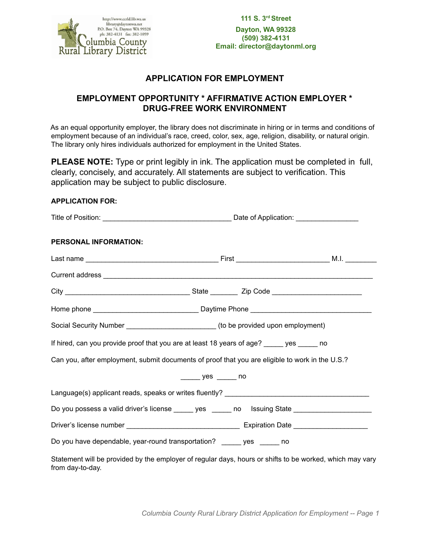

# **APPLICATION FOR EMPLOYMENT**

# **EMPLOYMENT OPPORTUNITY \* AFFIRMATIVE ACTION EMPLOYER \* DRUG-FREE WORK ENVIRONMENT**

As an equal opportunity employer, the library does not discriminate in hiring or in terms and conditions of employment because of an individual's race, creed, color, sex, age, religion, disability, or natural origin. The library only hires individuals authorized for employment in the United States.

**PLEASE NOTE:** Type or print legibly in ink. The application must be completed in full, clearly, concisely, and accurately. All statements are subject to verification. This application may be subject to public disclosure.

## **APPLICATION FOR:**

| PERSONAL INFORMATION: |                                                                                                          |  |  |
|-----------------------|----------------------------------------------------------------------------------------------------------|--|--|
|                       |                                                                                                          |  |  |
|                       |                                                                                                          |  |  |
|                       |                                                                                                          |  |  |
|                       |                                                                                                          |  |  |
|                       | Social Security Number _______________________________(to be provided upon employment)                   |  |  |
|                       | If hired, can you provide proof that you are at least 18 years of age? _____ yes _____ no                |  |  |
|                       | Can you, after employment, submit documents of proof that you are eligible to work in the U.S.?          |  |  |
|                       | yes no                                                                                                   |  |  |
|                       | Language(s) applicant reads, speaks or writes fluently? ________________________                         |  |  |
|                       | Do you possess a valid driver's license ______ yes ______ no lssuing State ________________________      |  |  |
|                       |                                                                                                          |  |  |
|                       | Do you have dependable, year-round transportation? ______ yes _____ no                                   |  |  |
| from day-to-day.      | Statement will be provided by the employer of regular days, hours or shifts to be worked, which may vary |  |  |

*Columbia County Rural Library District Application for Employment -- Page 1*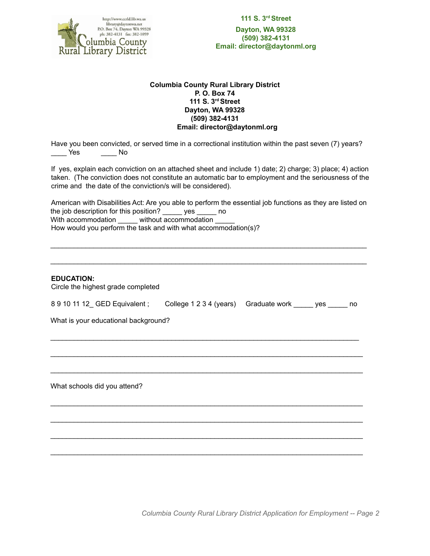

**111 S. 3rdStreet Dayton, WA 99328 (509) 382-4131 Email: director@daytonml.org**

### **Columbia County Rural Library District P. O. Box 74 111 S. 3rdStreet Dayton, WA 99328 (509) 382-4131 Email: director@daytonml.org**

Have you been convicted, or served time in a correctional institution within the past seven (7) years? \_\_\_\_ Yes \_\_\_\_ No

If yes, explain each conviction on an attached sheet and include 1) date; 2) charge; 3) place; 4) action taken. (The conviction does not constitute an automatic bar to employment and the seriousness of the crime and the date of the conviction/s will be considered).

American with Disabilities Act: Are you able to perform the essential job functions as they are listed on the job description for this position? \_\_\_\_\_ yes \_\_\_\_\_ no With accommodation \_\_\_\_\_\_ without accommodation How would you perform the task and with what accommodation(s)?

\_\_\_\_\_\_\_\_\_\_\_\_\_\_\_\_\_\_\_\_\_\_\_\_\_\_\_\_\_\_\_\_\_\_\_\_\_\_\_\_\_\_\_\_\_\_\_\_\_\_\_\_\_\_\_\_\_\_\_\_\_\_\_\_\_\_\_\_\_\_\_\_\_\_\_\_\_\_\_\_\_

\_\_\_\_\_\_\_\_\_\_\_\_\_\_\_\_\_\_\_\_\_\_\_\_\_\_\_\_\_\_\_\_\_\_\_\_\_\_\_\_\_\_\_\_\_\_\_\_\_\_\_\_\_\_\_\_\_\_\_\_\_\_\_\_\_\_\_\_\_\_\_\_\_\_\_\_\_\_\_\_\_

### **EDUCATION:**

Circle the highest grade completed

| 8 9 10 11 12 GED Equivalent : | College 1 2 3 4 (years) Graduate work | ves | no |
|-------------------------------|---------------------------------------|-----|----|
|                               |                                       |     |    |

 $\_$  , and the set of the set of the set of the set of the set of the set of the set of the set of the set of the set of the set of the set of the set of the set of the set of the set of the set of the set of the set of th

 $\_$  , and the set of the set of the set of the set of the set of the set of the set of the set of the set of the set of the set of the set of the set of the set of the set of the set of the set of the set of the set of th

 $\_$  , and the set of the set of the set of the set of the set of the set of the set of the set of the set of the set of the set of the set of the set of the set of the set of the set of the set of the set of the set of th

 $\_$  , and the set of the set of the set of the set of the set of the set of the set of the set of the set of the set of the set of the set of the set of the set of the set of the set of the set of the set of the set of th

 $\_$  , and the set of the set of the set of the set of the set of the set of the set of the set of the set of the set of the set of the set of the set of the set of the set of the set of the set of the set of the set of th

 $\_$  , and the set of the set of the set of the set of the set of the set of the set of the set of the set of the set of the set of the set of the set of the set of the set of the set of the set of the set of the set of th

 $\_$  , and the set of the set of the set of the set of the set of the set of the set of the set of the set of the set of the set of the set of the set of the set of the set of the set of the set of the set of the set of th

What is your educational background?

What schools did you attend?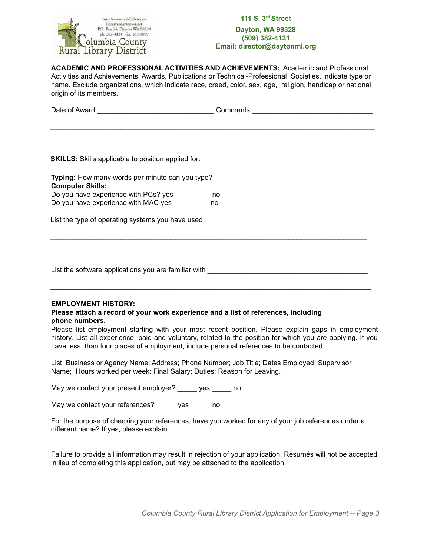

## **111 S. 3rdStreet Dayton, WA 99328 (509) 382-4131 Email: director@daytonml.org**

**ACADEMIC AND PROFESSIONAL ACTIVITIES AND ACHIEVEMENTS:** Academic and Professional Activities and Achievements, Awards, Publications or Technical-Professional Societies, indicate type or name. Exclude organizations, which indicate race, creed, color, sex, age, religion, handicap or national origin of its members.

| Typing: How many words per minute can you type? ________________________________                                   |  |  |  |  |  |
|--------------------------------------------------------------------------------------------------------------------|--|--|--|--|--|
|                                                                                                                    |  |  |  |  |  |
| List the type of operating systems you have used                                                                   |  |  |  |  |  |
|                                                                                                                    |  |  |  |  |  |
| List the software applications you are familiar with <b>Exercise 2008</b> Control and the software applications of |  |  |  |  |  |
|                                                                                                                    |  |  |  |  |  |

### **EMPLOYMENT HISTORY:**

### **Please attach a record of your work experience and a list of references, including phone numbers.**

Please list employment starting with your most recent position. Please explain gaps in employment history. List all experience, paid and voluntary, related to the position for which you are applying. If you have less than four places of employment, include personal references to be contacted.

List: Business or Agency Name; Address; Phone Number; Job Title; Dates Employed; Supervisor Name; Hours worked per week: Final Salary; Duties; Reason for Leaving.

May we contact your present employer? ves ho

May we contact your references? \_\_\_\_\_ yes \_\_\_\_\_ no

For the purpose of checking your references, have you worked for any of your job references under a different name? If yes, please explain  $\mathcal{L}_\text{max}$  , and the set of the set of the set of the set of the set of the set of the set of the set of the set of the set of the set of the set of the set of the set of the set of the set of the set of the set of the

Failure to provide all information may result in rejection of your application. Resumés will not be accepted in lieu of completing this application, but may be attached to the application.